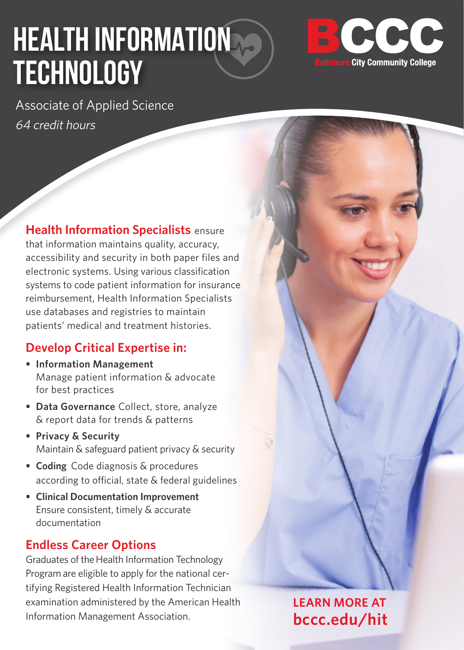# **HEALTH INFORMATION TECHNOLOGY**



Associate of Applied Science 64 credit hours

**Health Information Specialists** ensure that information maintains quality, accuracy, accessibility and security in both paper files and electronic systems. Using various classification systems to code patient information for insurance reimbursement, Health Information Specialists use databases and registries to maintain patients' medical and treatment histories.

#### **Develop Critical Expertise in:**

- **• Information Management** Manage patient information & advocate for best practices
- **• Data Governance** Collect, store, analyze & report data for trends & patterns
- **• Privacy & Security** Maintain & safeguard patient privacy & security
- **• Coding** Code diagnosis & procedures according to official, state & federal guidelines
- **• Clinical Documentation Improvement** Ensure consistent, timely & accurate documentation

#### **Endless Career Options**

Graduates of the Health Information Technology Program are eligible to apply for the national certifying Registered Health Information Technician examination administered by the American Health Information Management Association.

**LEARN MORE AT bccc.edu/hit**